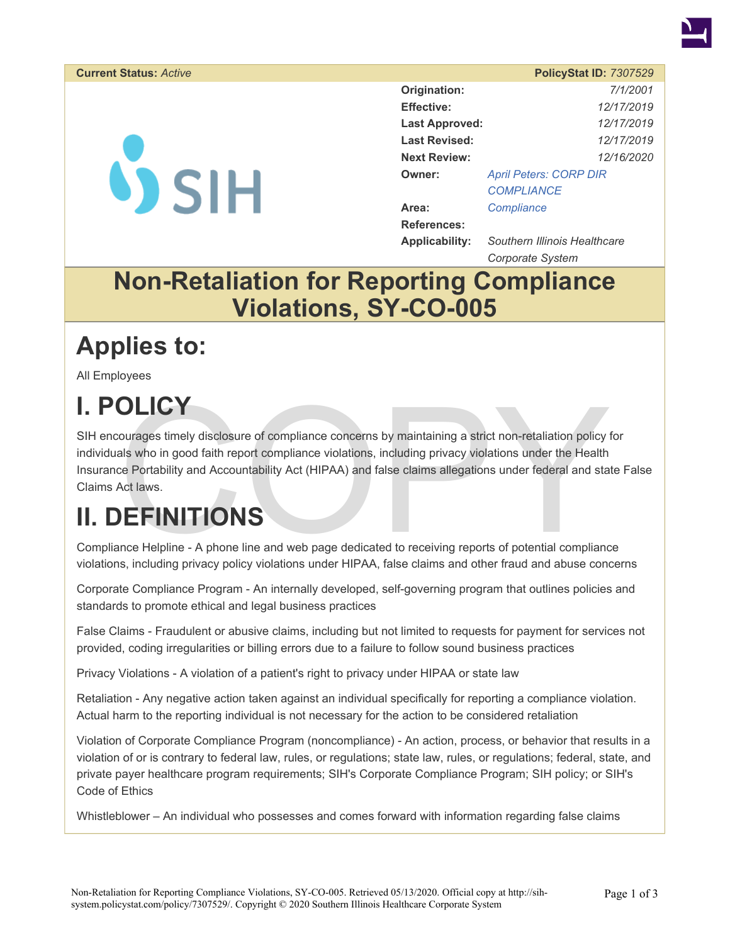

#### **Current Status: Active**

**VSIH** 

|                       | <b>PolicyStat ID: 7307529</b> |  |  |
|-----------------------|-------------------------------|--|--|
| Origination:          | 7/1/2001                      |  |  |
| <b>Effective:</b>     | 12/17/2019                    |  |  |
| <b>Last Approved:</b> | 12/17/2019                    |  |  |
| <b>Last Revised:</b>  | 12/17/2019                    |  |  |
| <b>Next Review:</b>   | 12/16/2020                    |  |  |
| Owner:                | <b>April Peters: CORP DIR</b> |  |  |
|                       | <b>COMPLIANCE</b>             |  |  |
| Area:                 | Compliance                    |  |  |
| <b>References:</b>    |                               |  |  |
| <b>Applicability:</b> | Southern Illinois Healthcare  |  |  |

*Corporate System* 

#### **Non-Retaliation for Reporting Compliance Violations, SY-CO-005**

#### **Applies to:**

All Employees

# **I. POLICY**

**OLICY**<br>
sourages timely disclosure of compliance concerns by maintaining a strict non-retaliation policy<br>
tals who in good faith report compliance violations, including privacy violations under the Health<br>
ce Portability SIH encourages timely disclosure of compliance concerns by maintaining a strict non-retaliation policy for individuals who in good faith report compliance violations, including privacy violations under the Health Insurance Portability and Accountability Act (HIPAA) and false claims allegations under federal and state False Claims Act laws.

## **II. DEFINITIONS**

Compliance Helpline - A phone line and web page dedicated to receiving reports of potential compliance violations, including privacy policy violations under HIPAA, false claims and other fraud and abuse concerns

Corporate Compliance Program - An internally developed, self-governing program that outlines policies and standards to promote ethical and legal business practices

False Claims - Fraudulent or abusive claims, including but not limited to requests for payment for services not provided, coding irregularities or billing errors due to a failure to follow sound business practices

Privacy Violations - A violation of a patient's right to privacy under HIPAA or state law

Retaliation - Any negative action taken against an individual specifically for reporting a compliance violation. Actual harm to the reporting individual is not necessary for the action to be considered retaliation

Violation of Corporate Compliance Program (noncompliance) - An action, process, or behavior that results in a violation of or is contrary to federal law, rules, or regulations; state law, rules, or regulations; federal, state, and private payer healthcare program requirements; SIH's Corporate Compliance Program; SIH policy; or SIH's Code of Ethics

Whistleblower – An individual who possesses and comes forward with information regarding false claims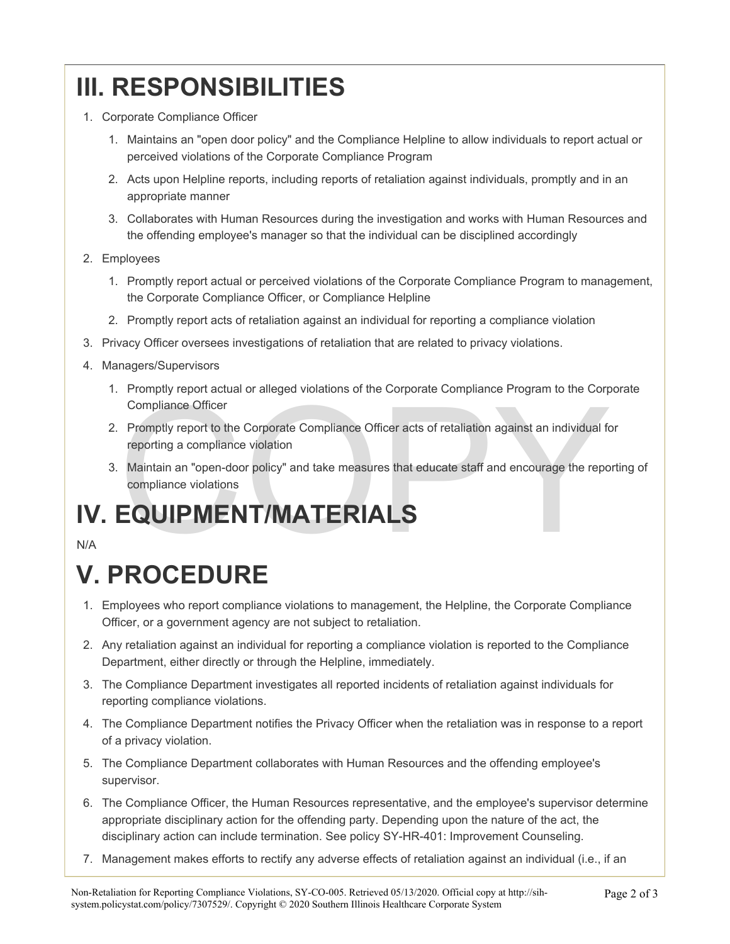## **III. RESPONSIBILITIES**

- 1. Corporate Compliance Officer
	- 1. Maintains an "open door policy" and the Compliance Helpline to allow individuals to report actual or perceived violations of the Corporate Compliance Program
	- 2. Acts upon Helpline reports, including reports of retaliation against individuals, promptly and in an appropriate manner
	- 3. Collaborates with Human Resources during the investigation and works with Human Resources and the offending employee's manager so that the individual can be disciplined accordingly
- 2. Employees
	- 1. Promptly report actual or perceived violations of the Corporate Compliance Program to management, the Corporate Compliance Officer, or Compliance Helpline
	- 2. Promptly report acts of retaliation against an individual for reporting a compliance violation
- 3. Privacy Officer oversees investigations of retaliation that are related to privacy violations.
- 4. Managers/Supervisors
	- 1. Promptly report actual or alleged violations of the Corporate Compliance Program to the Corporate Compliance Officer
	- Compliance Officer<br>Promptly report to the Corporate Compliance Officer acts of retaliation against an individual for<br>reporting a compliance violation<br>Maintain an "open-door policy" and take measures that educate staff and 2. Promptly report to the Corporate Compliance Officer acts of retaliation against an individual for reporting a compliance violation
	- 3. Maintain an "open-door policy" and take measures that educate staff and encourage the reporting of compliance violations

## **IV. EQUIPMENT/MATERIALS**

N/A

## **V. PROCEDURE**

- 1. Employees who report compliance violations to management, the Helpline, the Corporate Compliance Officer, or a government agency are not subject to retaliation.
- 2. Any retaliation against an individual for reporting a compliance violation is reported to the Compliance Department, either directly or through the Helpline, immediately.
- 3. The Compliance Department investigates all reported incidents of retaliation against individuals for reporting compliance violations.
- 4. The Compliance Department notifies the Privacy Officer when the retaliation was in response to a report of a privacy violation.
- 5. The Compliance Department collaborates with Human Resources and the offending employee's supervisor.
- 6. The Compliance Officer, the Human Resources representative, and the employee's supervisor determine appropriate disciplinary action for the offending party. Depending upon the nature of the act, the disciplinary action can include termination. See policy SY-HR-401: Improvement Counseling.
- 7. Management makes efforts to rectify any adverse effects of retaliation against an individual (i.e., if an